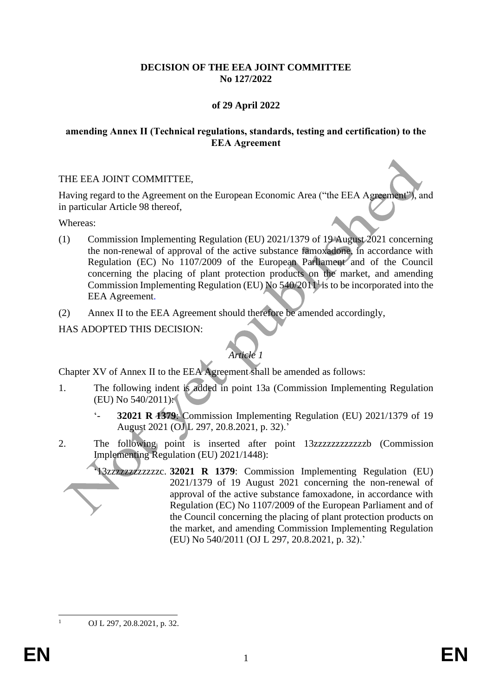### **DECISION OF THE EEA JOINT COMMITTEE No 127/2022**

## **of 29 April 2022**

#### **amending Annex II (Technical regulations, standards, testing and certification) to the EEA Agreement**

### THE EEA JOINT COMMITTEE,

Having regard to the Agreement on the European Economic Area ("the EEA Agreement"), and in particular Article 98 thereof,

Whereas:

- (1) Commission Implementing Regulation (EU) 2021/1379 of 19 August 2021 concerning the non-renewal of approval of the active substance famoxadone, in accordance with Regulation (EC) No 1107/2009 of the European Parliament and of the Council concerning the placing of plant protection products on the market, and amending Commission Implementing Regulation (EU) No  $540/2011<sup>1</sup>$  is to be incorporated into the EEA Agreement.
- (2) Annex II to the EEA Agreement should therefore be amended accordingly,

HAS ADOPTED THIS DECISION:

# *Article 1*

Chapter XV of Annex II to the EEA Agreement shall be amended as follows:

- 1. The following indent is added in point 13a (Commission Implementing Regulation (EU) No 540/2011):
	- '- **32021 R 1379**: Commission Implementing Regulation (EU) 2021/1379 of 19 August 2021 (OJ L 297, 20.8.2021, p. 32).'
- 2. The following point is inserted after point 13zzzzzzzzzzzzz (Commission Implementing Regulation (EU) 2021/1448):
	- '13zzzzzzzzzzzzc. **32021 R 1379**: Commission Implementing Regulation (EU) 2021/1379 of 19 August 2021 concerning the non-renewal of approval of the active substance famoxadone, in accordance with Regulation (EC) No 1107/2009 of the European Parliament and of the Council concerning the placing of plant protection products on the market, and amending Commission Implementing Regulation (EU) No 540/2011 (OJ L 297, 20.8.2021, p. 32).'

<sup>1</sup> OJ L 297, 20.8.2021, p. 32.